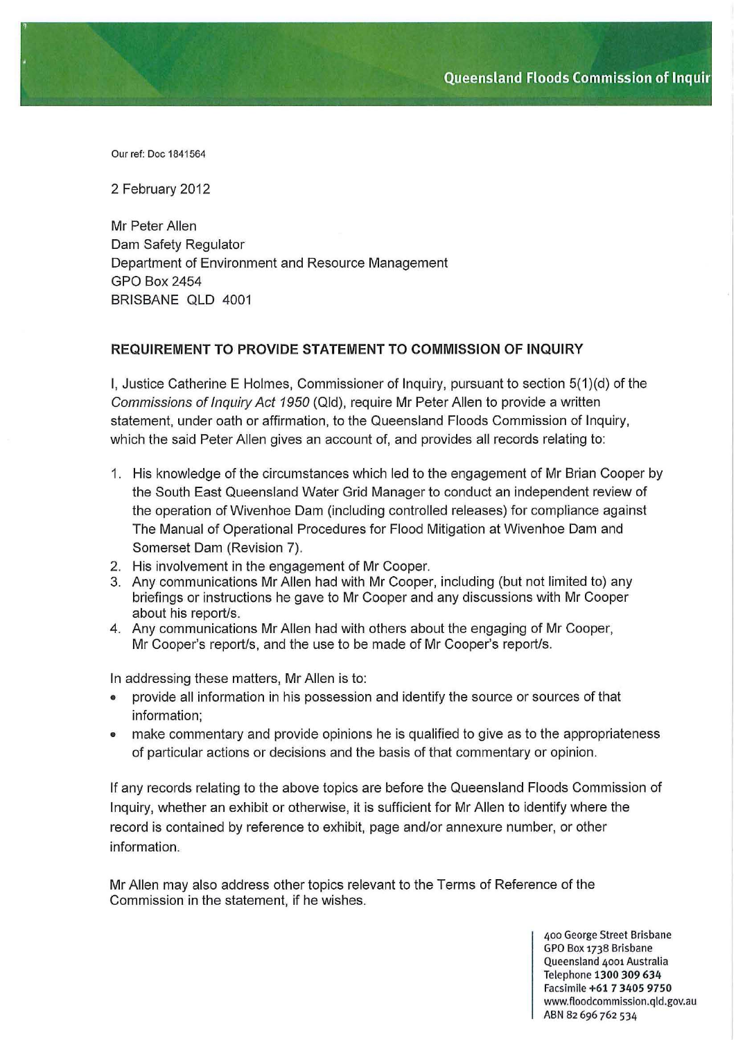**Our ref: Doc 1841564**

2 February 2012

Mr Peter Allen Dam Safety Regulator Department of Environment and Resource Management GPO Box 2454 BRISBANE QLD 4001

## **REQUIREMENT TO PROVIDE STATEMENT TO COMMISSION OF INQUIRY**

I, Justice Catherine E Holmes, Commissioner of Inquiry, pursuant to section 5(1)(d) of the Commissions of Inquiry Act 1950 (Qld), require Mr Peter Allen to provide a written statement, under oath or affirmation, to the Queensland Floods Commission of Inquiry, which the said Peter Allen gives an account of, and provides all records relating to:

- 1. His knowledge of the circumstances which led to the engagement of Mr Brian Cooper by the South East Queensland Water Grid Manager to conduct an independent review of the operation of Wivenhoe Dam (including controlled releases) for compliance against The Manual of Operational Procedures for Flood Mitigation at Wivenhoe Dam and Somerset Dam (Revision 7).
- 2. His involvement in the engagement of Mr Cooper.
- 3. Any communications Mr Allen had with Mr Cooper, including (but not limited to) any briefings or instructions he gave to Mr Cooper and any discussions with Mr Cooper about his report/s.
- 4. Any communications Mr Allen had with others about the engaging of Mr Cooper, Mr Cooper's report/s, and the use to be made of Mr Cooper's report/s.

In addressing these matters, Mr Allen is to:

- provide all information in his possess ion and identify the source or sources of that information;
- make commentary and provide opinions he is qualified to give as to the appropriateness of particular actions or decisions and the basis of that commentary or opinion.

If any records relating to the above topics are before the Queensland Floods Commission of Inquiry, whether an exhibit or otherwise, it is sufficient for Mr Allen to identify where the record is contained by reference to exhibit, page and/or annexure number, or other information.

Mr Allen may also address other topics relevant to the Terms of Reference of the Commission in the statement, if he wishes.

> 400 George Street Brisbane GPO Box 1738 Brisbane Queensland 4001 Australia Telephone 1300 309 634 Facsimile +61 734059750 **www.ftoodcommission.qld.gov.au** ABN 82 696 762 534